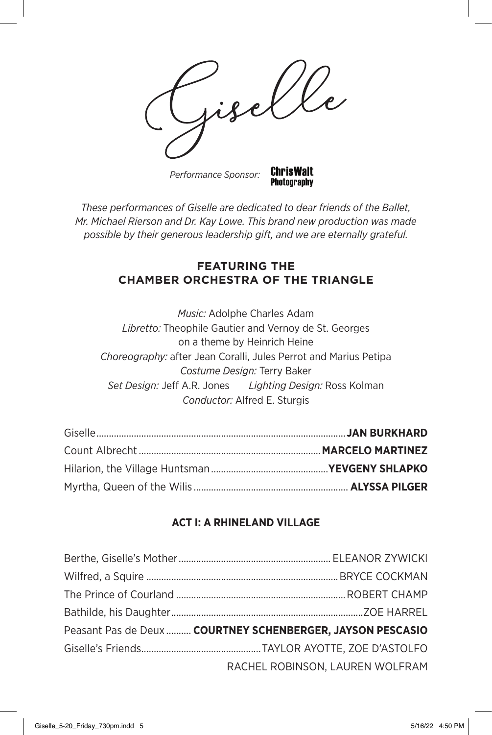**ChrisWalt** *Performance Sponsor:*

*These performances of Giselle are dedicated to dear friends of the Ballet, Mr. Michael Rierson and Dr. Kay Lowe. This brand new production was made possible by their generous leadership gift, and we are eternally grateful.*

**Photography** 

## **FEATURING THE CHAMBER ORCHESTRA OF THE TRIANGLE**

*Music:* Adolphe Charles Adam *Libretto:* Theophile Gautier and Vernoy de St. Georges on a theme by Heinrich Heine *Choreography:* after Jean Coralli, Jules Perrot and Marius Petipa *Costume Design:* Terry Baker *Set Design:* Jeff A.R. Jones *Lighting Design:* Ross Kolman *Conductor:* Alfred E. Sturgis

## **ACT I: A RHINELAND VILLAGE**

| Peasant Pas de Deux  COURTNEY SCHENBERGER, JAYSON PESCASIO |
|------------------------------------------------------------|
|                                                            |
| RACHEL ROBINSON, LAUREN WOLFRAM                            |